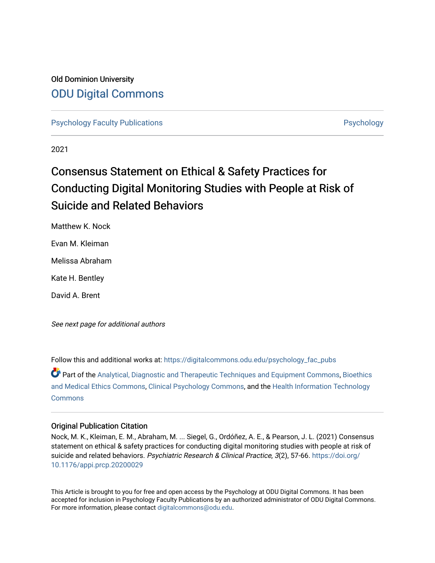# Old Dominion University [ODU Digital Commons](https://digitalcommons.odu.edu/)

[Psychology Faculty Publications](https://digitalcommons.odu.edu/psychology_fac_pubs) **Provides** [Psychology](https://digitalcommons.odu.edu/psychology) **Psychology** 

2021

# Consensus Statement on Ethical & Safety Practices for Conducting Digital Monitoring Studies with People at Risk of Suicide and Related Behaviors

Matthew K. Nock

Evan M. Kleiman

Melissa Abraham

Kate H. Bentley

David A. Brent

See next page for additional authors

Follow this and additional works at: [https://digitalcommons.odu.edu/psychology\\_fac\\_pubs](https://digitalcommons.odu.edu/psychology_fac_pubs?utm_source=digitalcommons.odu.edu%2Fpsychology_fac_pubs%2F120&utm_medium=PDF&utm_campaign=PDFCoverPages)

Part of the [Analytical, Diagnostic and Therapeutic Techniques and Equipment Commons](http://network.bepress.com/hgg/discipline/899?utm_source=digitalcommons.odu.edu%2Fpsychology_fac_pubs%2F120&utm_medium=PDF&utm_campaign=PDFCoverPages), [Bioethics](http://network.bepress.com/hgg/discipline/650?utm_source=digitalcommons.odu.edu%2Fpsychology_fac_pubs%2F120&utm_medium=PDF&utm_campaign=PDFCoverPages)  [and Medical Ethics Commons,](http://network.bepress.com/hgg/discipline/650?utm_source=digitalcommons.odu.edu%2Fpsychology_fac_pubs%2F120&utm_medium=PDF&utm_campaign=PDFCoverPages) [Clinical Psychology Commons,](http://network.bepress.com/hgg/discipline/406?utm_source=digitalcommons.odu.edu%2Fpsychology_fac_pubs%2F120&utm_medium=PDF&utm_campaign=PDFCoverPages) and the [Health Information Technology](http://network.bepress.com/hgg/discipline/1239?utm_source=digitalcommons.odu.edu%2Fpsychology_fac_pubs%2F120&utm_medium=PDF&utm_campaign=PDFCoverPages)  **[Commons](http://network.bepress.com/hgg/discipline/1239?utm_source=digitalcommons.odu.edu%2Fpsychology_fac_pubs%2F120&utm_medium=PDF&utm_campaign=PDFCoverPages)** 

## Original Publication Citation

Nock, M. K., Kleiman, E. M., Abraham, M. ... Siegel, G., Ordóñez, A. E., & Pearson, J. L. (2021) Consensus statement on ethical & safety practices for conducting digital monitoring studies with people at risk of suicide and related behaviors. Psychiatric Research & Clinical Practice, 3(2), 57-66. [https://doi.org/](https://doi.org/10.1176/appi.prcp.20200029) [10.1176/appi.prcp.20200029](https://doi.org/10.1176/appi.prcp.20200029)

This Article is brought to you for free and open access by the Psychology at ODU Digital Commons. It has been accepted for inclusion in Psychology Faculty Publications by an authorized administrator of ODU Digital Commons. For more information, please contact [digitalcommons@odu.edu](mailto:digitalcommons@odu.edu).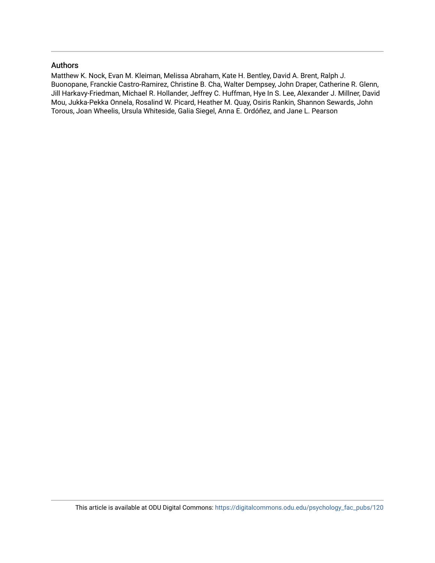### Authors

Matthew K. Nock, Evan M. Kleiman, Melissa Abraham, Kate H. Bentley, David A. Brent, Ralph J. Buonopane, Franckie Castro-Ramirez, Christine B. Cha, Walter Dempsey, John Draper, Catherine R. Glenn, Jill Harkavy-Friedman, Michael R. Hollander, Jeffrey C. Huffman, Hye In S. Lee, Alexander J. Millner, David Mou, Jukka-Pekka Onnela, Rosalind W. Picard, Heather M. Quay, Osiris Rankin, Shannon Sewards, John Torous, Joan Wheelis, Ursula Whiteside, Galia Siegel, Anna E. Ordóñez, and Jane L. Pearson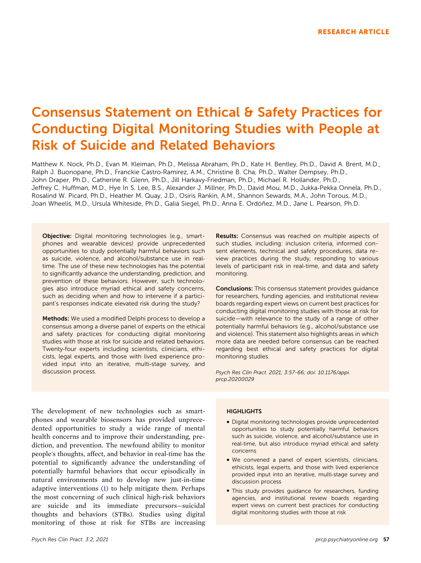# Consensus Statement on Ethical & Safety Practices for Conducting Digital Monitoring Studies with People at Risk of Suicide and Related Behaviors

Matthew K. Nock, Ph.D., Evan M. Kleiman, Ph.D., Melissa Abraham, Ph.D., Kate H. Bentley, Ph.D., David A. Brent, M.D., Ralph J. Buonopane, Ph.D., Franckie Castro‐Ramirez, A.M., Christine B. Cha, Ph.D., Walter Dempsey, Ph.D., John Draper, Ph.D., Catherine R. Glenn, Ph.D., Jill Harkavy‐Friedman, Ph.D., Michael R. Hollander, Ph.D., Jeffrey C. Huffman, M.D., Hye In S. Lee, B.S., Alexander J. Millner, Ph.D., David Mou, M.D., Jukka-Pekka Onnela, Ph.D., Rosalind W. Picard, Ph.D., Heather M. Quay, J.D., Osiris Rankin, A.M., Shannon Sewards, M.A., John Torous, M.D., Joan Wheelis, M.D., Ursula Whiteside, Ph.D., Galia Siegel, Ph.D., Anna E. Ordóñez, M.D., Jane L. Pearson, Ph.D.

Objective: Digital monitoring technologies (e.g., smartphones and wearable devices) provide unprecedented opportunities to study potentially harmful behaviors such as suicide, violence, and alcohol/substance use in real‐ time. The use of these new technologies has the potential to significantly advance the understanding, prediction, and prevention of these behaviors. However, such technologies also introduce myriad ethical and safety concerns, such as deciding when and how to intervene if a participant's responses indicate elevated risk during the study?

Methods: We used a modified Delphi process to develop a consensus among a diverse panel of experts on the ethical and safety practices for conducting digital monitoring studies with those at risk for suicide and related behaviors. Twenty‐four experts including scientists, clinicians, ethicists, legal experts, and those with lived experience provided input into an iterative, multi‐stage survey, and discussion process.

Results: Consensus was reached on multiple aspects of such studies, including: inclusion criteria, informed consent elements, technical and safety procedures, data review practices during the study, responding to various levels of participant risk in real-time, and data and safety monitoring.

Conclusions: This consensus statement provides guidance for researchers, funding agencies, and institutional review boards regarding expert views on current best practices for conducting digital monitoring studies with those at risk for suicide—with relevance to the study of a range of other potentially harmful behaviors (e.g., alcohol/substance use and violence). This statement also highlights areas in which more data are needed before consensus can be reached regarding best ethical and safety practices for digital monitoring studies.

*Psych Res Clin Pract. 2021; 3:57*–*66; doi: [10.1176/appi.](https://doi.org/10.1176/appi.prcp.20200029) [prcp.20200029](https://doi.org/10.1176/appi.prcp.20200029)*

The development of new technologies such as smartphones and wearable biosensors has provided unprecedented opportunities to study a wide range of mental health concerns and to improve their understanding, prediction, and prevention. The newfound ability to monitor people's thoughts, affect, and behavior in real‐time has the potential to significantly advance the understanding of potentially harmful behaviors that occur episodically in natural environments and to develop new just-in-time adaptive interventions ([1\)](#page-10-0) to help mitigate them. Perhaps the most concerning of such clinical high‐risk behaviors are suicide and its immediate precursors—suicidal thoughts and behaviors (STBs). Studies using digital monitoring of those at risk for STBs are increasing

#### **HIGHLIGHTS**

- � Digital monitoring technologies provide unprecedented opportunities to study potentially harmful behaviors such as suicide, violence, and alcohol/substance use in real-time, but also introduce myriad ethical and safety concerns
- � We convened a panel of expert scientists, clinicians, ethicists, legal experts, and those with lived experience provided input into an iterative, multi‐stage survey and discussion process
- � This study provides guidance for researchers, funding agencies, and institutional review boards regarding expert views on current best practices for conducting digital monitoring studies with those at risk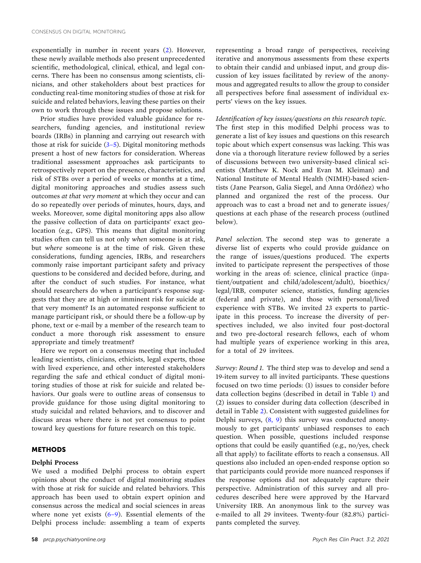exponentially in number in recent years ([2\)](#page-10-0). However, these newly available methods also present unprecedented scientific, methodological, clinical, ethical, and legal concerns. There has been no consensus among scientists, clinicians, and other stakeholders about best practices for conducting real‐time monitoring studies of those at risk for suicide and related behaviors, leaving these parties on their own to work through these issues and propose solutions.

Prior studies have provided valuable guidance for researchers, funding agencies, and institutional review boards (IRBs) in planning and carrying out research with those at risk for suicide  $(3-5)$ . Digital monitoring methods present a host of new factors for consideration. Whereas traditional assessment approaches ask participants to retrospectively report on the presence, characteristics, and risk of STBs over a period of weeks or months at a time, digital monitoring approaches and studies assess such outcomes *at that very moment* at which they occur and can do so repeatedly over periods of minutes, hours, days, and weeks. Moreover, some digital monitoring apps also allow the passive collection of data on participants' exact geolocation (e.g., GPS). This means that digital monitoring studies often can tell us not only *when* someone is at risk, but *where* someone is at the time of risk. Given these considerations, funding agencies, IRBs, and researchers commonly raise important participant safety and privacy questions to be considered and decided before, during, and after the conduct of such studies. For instance, what should researchers do when a participant's response suggests that they are at high or imminent risk for suicide at that very moment? Is an automated response sufficient to manage participant risk, or should there be a follow‐up by phone, text or e‐mail by a member of the research team to conduct a more thorough risk assessment to ensure appropriate and timely treatment?

Here we report on a consensus meeting that included leading scientists, clinicians, ethicists, legal experts, those with lived experience, and other interested stakeholders regarding the safe and ethical conduct of digital monitoring studies of those at risk for suicide and related behaviors. Our goals were to outline areas of consensus to provide guidance for those using digital monitoring to study suicidal and related behaviors, and to discover and discuss areas where there is not yet consensus to point toward key questions for future research on this topic.

#### **METHODS**

#### **Delphi Process**

We used a modified Delphi process to obtain expert opinions about the conduct of digital monitoring studies with those at risk for suicide and related behaviors. This approach has been used to obtain expert opinion and consensus across the medical and social sciences in areas where none yet exists  $(6-9)$ . Essential elements of the Delphi process include: assembling a team of experts

representing a broad range of perspectives, receiving iterative and anonymous assessments from these experts to obtain their candid and unbiased input, and group discussion of key issues facilitated by review of the anonymous and aggregated results to allow the group to consider all perspectives before final assessment of individual experts' views on the key issues.

#### *Identification of key issues/questions on this research topic.*

The first step in this modified Delphi process was to generate a list of key issues and questions on this research topic about which expert consensus was lacking. This was done via a thorough literature review followed by a series of discussions between two university‐based clinical scientists (Matthew K. Nock and Evan M. Kleiman) and National Institute of Mental Health (NIMH)‐based scientists (Jane Pearson, Galia Siegel, and Anna Ordóñez) who planned and organized the rest of the process. Our approach was to cast a broad net and to generate issues/ questions at each phase of the research process (outlined below).

*Panel selection.* The second step was to generate a diverse list of experts who could provide guidance on the range of issues/questions produced. The experts invited to participate represent the perspectives of those working in the areas of: science, clinical practice (inpatient/outpatient and child/adolescent/adult), bioethics/ legal/IRB, computer science, statistics, funding agencies (federal and private), and those with personal/lived experience with STBs. We invited 23 experts to participate in this process. To increase the diversity of perspectives included, we also invited four post-doctoral and two pre‐doctoral research fellows, each of whom had multiple years of experience working in this area, for a total of 29 invitees.

*Survey: Round 1.* The third step was to develop and send a 19‐item survey to all invited participants. These questions focused on two time periods: (1) issues to consider before data collection begins (described in detail in Table [1](#page-4-0)) and (2) issues to consider during data collection (described in detail in Table [2\)](#page-6-0). Consistent with suggested guidelines for Delphi surveys, [\(8,](#page-10-0) 9) this survey was conducted anonymously to get participants' unbiased responses to each question. When possible, questions included response options that could be easily quantified (e.g., no/yes, check all that apply) to facilitate efforts to reach a consensus. All questions also included an open‐ended response option so that participants could provide more nuanced responses if the response options did not adequately capture their perspective. Administration of this survey and all procedures described here were approved by the Harvard University IRB. An anonymous link to the survey was e‐mailed to all 29 invitees. Twenty‐four (82.8%) participants completed the survey.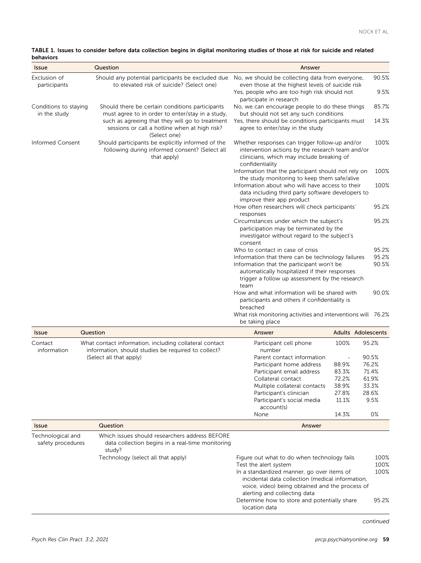<span id="page-4-0"></span>

| TABLE 1. Issues to consider before data collection begins in digital monitoring studies of those at risk for suicide and related |  |  |  |
|----------------------------------------------------------------------------------------------------------------------------------|--|--|--|
| behaviors                                                                                                                        |  |  |  |

| <b>Issue</b>                          | Question                                                                                                           | Answer                                                                                                                                                                                                                                                    |                           |                         |
|---------------------------------------|--------------------------------------------------------------------------------------------------------------------|-----------------------------------------------------------------------------------------------------------------------------------------------------------------------------------------------------------------------------------------------------------|---------------------------|-------------------------|
| Exclusion of                          | Should any potential participants be excluded due                                                                  | No, we should be collecting data from everyone,                                                                                                                                                                                                           |                           | 90.5%                   |
| participants                          | to elevated risk of suicide? (Select one)                                                                          | even those at the highest levels of suicide risk<br>Yes, people who are too high risk should not<br>participate in research                                                                                                                               |                           | 9.5%                    |
| Conditions to staying<br>in the study | Should there be certain conditions participants<br>must agree to in order to enter/stay in a study,                | No, we can encourage people to do these things<br>but should not set any such conditions                                                                                                                                                                  |                           | 85.7%                   |
|                                       | such as agreeing that they will go to treatment<br>sessions or call a hotline when at high risk?<br>(Select one)   | Yes, there should be conditions participants must<br>agree to enter/stay in the study                                                                                                                                                                     |                           | 14.3%                   |
| Informed Consent                      | Should participants be explicitly informed of the<br>following during informed consent? (Select all<br>that apply) | Whether responses can trigger follow-up and/or<br>intervention actions by the research team and/or<br>clinicians, which may include breaking of<br>confidentiality                                                                                        |                           | 100%                    |
|                                       |                                                                                                                    | Information that the participant should not rely on<br>the study monitoring to keep them safe/alive                                                                                                                                                       |                           | 100%                    |
|                                       |                                                                                                                    | Information about who will have access to their<br>data including third party software developers to<br>improve their app product                                                                                                                         |                           | 100%                    |
|                                       |                                                                                                                    | How often researchers will check participants'                                                                                                                                                                                                            |                           | 95.2%                   |
|                                       |                                                                                                                    | responses<br>Circumstances under which the subject's<br>participation may be terminated by the<br>investigator without regard to the subject's<br>consent                                                                                                 |                           | 95.2%                   |
|                                       |                                                                                                                    | Who to contact in case of crisis<br>Information that there can be technology failures<br>Information that the participant won't be<br>automatically hospitalized if their responses<br>trigger a follow up assessment by the research<br>team             |                           | 95.2%<br>95.2%<br>90.5% |
|                                       |                                                                                                                    | How and what information will be shared with<br>participants and others if confidentiality is<br>breached<br>What risk monitoring activities and interventions will 76.2%<br>be taking place                                                              |                           | 90.0%                   |
| <b>Issue</b>                          | Question                                                                                                           | Answer                                                                                                                                                                                                                                                    | <b>Adults Adolescents</b> |                         |
| Contact<br>information                | What contact information, including collateral contact<br>information, should studies be required to collect?      | Participant cell phone<br>number                                                                                                                                                                                                                          | 100%                      | 95.2%                   |
|                                       | (Select all that apply)                                                                                            | Parent contact information                                                                                                                                                                                                                                |                           | 90.5%                   |
|                                       |                                                                                                                    | Participant home address                                                                                                                                                                                                                                  | 88.9%                     | 76.2%                   |
|                                       |                                                                                                                    | Participant email address<br>Collateral contact                                                                                                                                                                                                           | 83.3%<br>72.2%            | 71.4%<br>61.9%          |
|                                       |                                                                                                                    | Multiple collateral contacts                                                                                                                                                                                                                              | 38.9%                     | 33.3%                   |
|                                       |                                                                                                                    | Participant's clinician                                                                                                                                                                                                                                   | 27.8%                     | 28.6%                   |
|                                       |                                                                                                                    | Participant's social media                                                                                                                                                                                                                                | 11.1%                     | 9.5%                    |
|                                       |                                                                                                                    | account(s)                                                                                                                                                                                                                                                |                           | 0%                      |
|                                       |                                                                                                                    | None<br>Answer                                                                                                                                                                                                                                            | 14.3%                     |                         |
| <b>Issue</b><br>Technological and     | Question<br>Which issues should researchers address BEFORE                                                         |                                                                                                                                                                                                                                                           |                           |                         |
| safety procedures                     | data collection begins in a real-time monitoring<br>study?                                                         |                                                                                                                                                                                                                                                           |                           |                         |
|                                       | Technology (select all that apply)                                                                                 | Figure out what to do when technology fails<br>Test the alert system<br>In a standardized manner, go over items of<br>incidental data collection (medical information,<br>voice, video) being obtained and the process of<br>alerting and collecting data |                           | 100%<br>100%<br>100%    |
|                                       |                                                                                                                    | Determine how to store and potentially share<br>location data                                                                                                                                                                                             |                           | 95.2%                   |

*continued*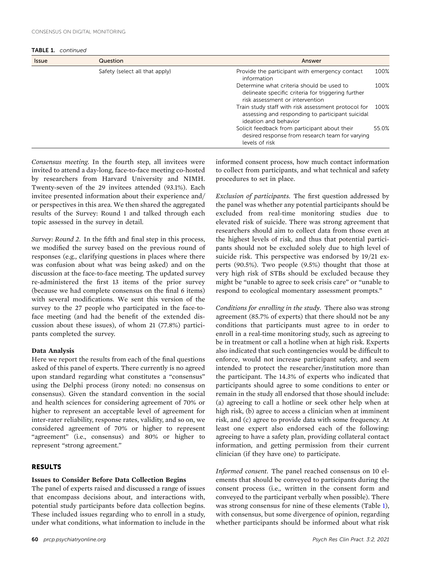TABLE 1. *continued*

| <b>Issue</b> | Question                       | Answer                                                                                                                             |       |
|--------------|--------------------------------|------------------------------------------------------------------------------------------------------------------------------------|-------|
|              | Safety (select all that apply) | Provide the participant with emergency contact<br>information                                                                      | 100%  |
|              |                                | Determine what criteria should be used to<br>delineate specific criteria for triggering further<br>risk assessment or intervention | 100%  |
|              |                                | Train study staff with risk assessment protocol for<br>assessing and responding to participant suicidal<br>ideation and behavior   | 100%  |
|              |                                | Solicit feedback from participant about their<br>desired response from research team for varying<br>levels of risk                 | 55.0% |

*Consensus meeting.* In the fourth step, all invitees were invited to attend a day‐long, face‐to‐face meeting co‐hosted by researchers from Harvard University and NIMH. Twenty‐seven of the 29 invitees attended (93.1%). Each invitee presented information about their experience and/ or perspectives in this area. We then shared the aggregated results of the Survey: Round 1 and talked through each topic assessed in the survey in detail.

*Survey: Round 2.* In the fifth and final step in this process, we modified the survey based on the previous round of responses (e.g., clarifying questions in places where there was confusion about what was being asked) and on the discussion at the face‐to‐face meeting. The updated survey re‐administered the first 13 items of the prior survey (because we had complete consensus on the final 6 items) with several modifications. We sent this version of the survey to the 27 people who participated in the face-toface meeting (and had the benefit of the extended discussion about these issues), of whom 21 (77.8%) participants completed the survey.

#### **Data Analysis**

Here we report the results from each of the final questions asked of this panel of experts. There currently is no agreed upon standard regarding what constitutes a "consensus" using the Delphi process (irony noted: no consensus on consensus). Given the standard convention in the social and health sciences for considering agreement of 70% or higher to represent an acceptable level of agreement for inter-rater reliability, response rates, validity, and so on, we considered agreement of 70% or higher to represent "agreement" (i.e., consensus) and 80% or higher to represent "strong agreement."

#### **RESULTS**

#### **Issues to Consider Before Data Collection Begins**

The panel of experts raised and discussed a range of issues that encompass decisions about, and interactions with, potential study participants before data collection begins. These included issues regarding who to enroll in a study, under what conditions, what information to include in the informed consent process, how much contact information to collect from participants, and what technical and safety procedures to set in place.

*Exclusion of participants.* The first question addressed by the panel was whether any potential participants should be excluded from real-time monitoring studies due to elevated risk of suicide. There was strong agreement that researchers should aim to collect data from those even at the highest levels of risk, and thus that potential participants should not be excluded solely due to high level of suicide risk. This perspective was endorsed by 19/21 experts (90.5%). Two people (9.5%) thought that those at very high risk of STBs should be excluded because they might be "unable to agree to seek crisis care" or "unable to respond to ecological momentary assessment prompts."

*Conditions for enrolling in the study.* There also was strong agreement (85.7% of experts) that there should not be any conditions that participants must agree to in order to enroll in a real-time monitoring study, such as agreeing to be in treatment or call a hotline when at high risk. Experts also indicated that such contingencies would be difficult to enforce, would not increase participant safety, and seem intended to protect the researcher/institution more than the participant. The 14.3% of experts who indicated that participants should agree to some conditions to enter or remain in the study all endorsed that those should include: (a) agreeing to call a hotline or seek other help when at high risk, (b) agree to access a clinician when at imminent risk, and (c) agree to provide data with some frequency. At least one expert also endorsed each of the following: agreeing to have a safety plan, providing collateral contact information, and getting permission from their current clinician (if they have one) to participate.

*Informed consent.* The panel reached consensus on 10 elements that should be conveyed to participants during the consent process (i.e., written in the consent form and conveyed to the participant verbally when possible). There was strong consensus for nine of these elements (Table [1](#page-4-0)), with consensus, but some divergence of opinion, regarding whether participants should be informed about what risk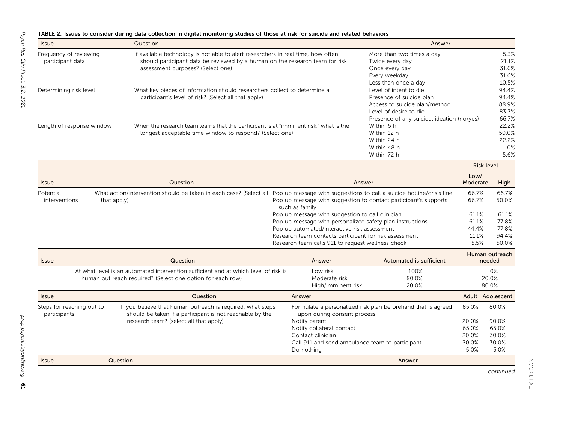#### <span id="page-6-0"></span>TABLE 2. Issues to consider during data collection in digital monitoring studies of those at risk for suicide and related behaviors

| <i><u><b>Issue</b></u></i>                 | Question                                                                                                                                                                                              |                                                                                                                                                                                                                                                                              | Answer                                                                                                               |                                                   |                                                   |
|--------------------------------------------|-------------------------------------------------------------------------------------------------------------------------------------------------------------------------------------------------------|------------------------------------------------------------------------------------------------------------------------------------------------------------------------------------------------------------------------------------------------------------------------------|----------------------------------------------------------------------------------------------------------------------|---------------------------------------------------|---------------------------------------------------|
| Frequency of reviewing<br>participant data | If available technology is not able to alert researchers in real time, how often<br>should participant data be reviewed by a human on the research team for risk<br>assessment purposes? (Select one) |                                                                                                                                                                                                                                                                              | More than two times a day<br>Twice every day<br>Once every day<br>Every weekday<br>Less than once a day              |                                                   | 5.3%<br>21.1%<br>31.6%<br>31.6%<br>10.5%          |
| Determining risk level                     | What key pieces of information should researchers collect to determine a<br>participant's level of risk? (Select all that apply)                                                                      |                                                                                                                                                                                                                                                                              | Level of intent to die<br>Presence of suicide plan<br>Access to suicide plan/method<br>Level of desire to die        |                                                   | 94.4%<br>94.4%<br>88.9%<br>83.3%                  |
| Length of response window                  | When the research team learns that the participant is at "imminent risk," what is the<br>longest acceptable time window to respond? (Select one)                                                      |                                                                                                                                                                                                                                                                              | Presence of any suicidal ideation (no/yes)<br>Within 6 h<br>Within 12 h<br>Within 24 h<br>Within 48 h<br>Within 72 h |                                                   | 66.7%<br>22.2%<br>50.0%<br>22.2%<br>$0\%$<br>5.6% |
|                                            |                                                                                                                                                                                                       |                                                                                                                                                                                                                                                                              |                                                                                                                      |                                                   | <b>Risk level</b>                                 |
| <b>Issue</b>                               | Question                                                                                                                                                                                              |                                                                                                                                                                                                                                                                              | Answer                                                                                                               | Low/<br>Moderate                                  | High                                              |
| Potential<br>interventions<br>that apply)  | What action/intervention should be taken in each case? (Select all Pop up message with suggestions to call a suicide hotline/crisis line                                                              | such as family                                                                                                                                                                                                                                                               | Pop up message with suggestion to contact participant's supports                                                     | 66.7%<br>66.7%                                    | 66.7%<br>50.0%                                    |
|                                            |                                                                                                                                                                                                       | Pop up message with suggestion to call clinician<br>Pop up message with personalized safety plan instructions<br>Pop up automated/interactive risk assessment<br>Research team contacts participant for risk assessment<br>Research team calls 911 to request wellness check |                                                                                                                      | 61.1%<br>61.1%<br>44.4%<br>11.1%<br>5.5%          | 61.1%<br>77.8%<br>77.8%<br>94.4%<br>50.0%         |
| <b>Issue</b>                               | Question                                                                                                                                                                                              | Answer                                                                                                                                                                                                                                                                       | Automated is sufficient                                                                                              |                                                   | Human outreach<br>needed                          |
|                                            | At what level is an automated intervention sufficient and at which level of risk is<br>human out-reach required? (Select one option for each row)                                                     | Low risk<br>Moderate risk<br>High/imminent risk                                                                                                                                                                                                                              | 100%<br>80.0%<br>20.0%                                                                                               |                                                   | 0%<br>20.0%<br>80.0%                              |
| <b>Issue</b>                               | Question                                                                                                                                                                                              | Answer                                                                                                                                                                                                                                                                       |                                                                                                                      |                                                   | Adult Adolescent                                  |
| Steps for reaching out to<br>participants  | If you believe that human outreach is required, what steps<br>should be taken if a participant is not reachable by the<br>research team? (select all that apply)                                      | upon during consent process<br>Notify parent<br>Notify collateral contact<br>Contact clinician<br>Call 911 and send ambulance team to participant<br>Do nothing                                                                                                              | Formulate a personalized risk plan beforehand that is agreed                                                         | 85.0%<br>20.0%<br>65.0%<br>20.0%<br>30.0%<br>5.0% | 80.0%<br>90.0%<br>65.0%<br>30.0%<br>30.0%<br>5.0% |
| Question<br><b>Issue</b>                   |                                                                                                                                                                                                       |                                                                                                                                                                                                                                                                              | Answer                                                                                                               |                                                   |                                                   |

*continued*

NOCK ET AL.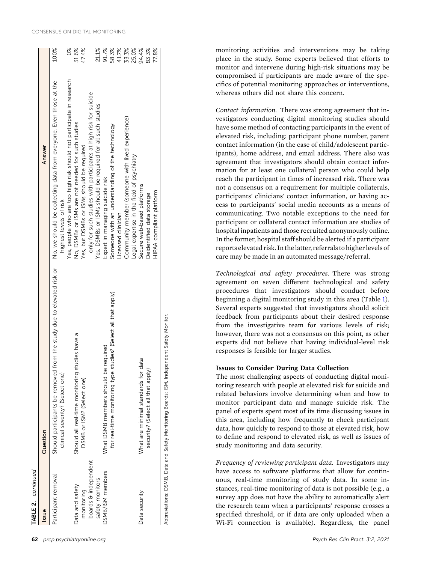| TABLE 2. continued   |                                                                                                               |                                                                                             |                         |
|----------------------|---------------------------------------------------------------------------------------------------------------|---------------------------------------------------------------------------------------------|-------------------------|
| Issue                | Question                                                                                                      | Answer                                                                                      |                         |
| Participant removal  | rom the study due to elevated risk or<br>Should participants be removed fr<br>clinical severity? (Select one) | No, we should be collecting data from everyone. Even those at the<br>highest levels of risk | 100%                    |
|                      |                                                                                                               | Yes, people who are too high risk should not participate in research                        | ŏ                       |
| Data and safety      | Should all real-time monitoring studies have a                                                                | No, DSMBs or ISMs are not needed for such studies                                           | 31.6%                   |
| monitoring           | DSMB or ISM? (Select one)                                                                                     | Yes, but DSMBs or ISMs should be required                                                   | 47.4%                   |
| boards & independent |                                                                                                               | only for such studies with participants at high risk for suicide                            |                         |
| safety monitors      |                                                                                                               | Yes, DSMBs or ISMs should be required for all such studies                                  | 21.1%                   |
| DSMB/ISM members     | required<br>What DSMB members should be                                                                       | Expert in managing suicide risk                                                             | 91.7%                   |
|                      | for real-time monitoring type studies? (Select all that apply)                                                | Someone with an understanding of the technology                                             | 58.3%<br>41.7%<br>33.3% |
|                      |                                                                                                               | Licensed clinician                                                                          |                         |
|                      |                                                                                                               | Community member (someone with lived experience)                                            |                         |
|                      |                                                                                                               | Legal expertise in the field of psychiatry                                                  | 25.0%                   |
| Data security        | What are minimal standards for data                                                                           | Secure web-based platforms                                                                  | 94.4%                   |
|                      | security? (Select all that apply)                                                                             | Deidentified data storage                                                                   | 83.3%                   |
|                      |                                                                                                               | HIPAA compliant platform                                                                    | 77.8%                   |
|                      |                                                                                                               |                                                                                             |                         |

Abbreviations: DSMB, Data and Safety Monitoring Boards; ISM, Independent Safety Monitor. Independent Safety Monitor ΣŠ, Boards; Monitoring Data and Safety USMB, Abbreviations: monitoring activities and interventions may be taking place in the study. Some experts believed that efforts to monitor and intervene during high‐risk situations may be compromised if participants are made aware of the specifics of potential monitoring approaches or interventions, whereas others did not share this concern.

*Contact information.* There was strong agreement that investigators conducting digital monitoring studies should have some method of contacting participants in the event of elevated risk, including: participant phone number, parent contact information (in the case of child/adolescent participants), home address, and email address. There also was agreement that investigators should obtain contact information for at least one collateral person who could help reach the participant in times of increased risk. There was not a consensus on a requirement for multiple collaterals, participants' clinicians' contact information, or having access to participants' social media accounts as a means of communicating. Two notable exceptions to the need for participant or collateral contact information are studies of hospital inpatients and those recruited anonymously online. In the former, hospital staff should be alerted if a participant reports elevated risk. In the latter, referrals to higher levels of care may be made in an automated message/referral.

*Technological and safety procedures.* There was strong agreement on seven different technological and safety procedures that investigators should conduct before beginning a digital monitoring study in this area (Table [1](#page-4-0)). Several experts suggested that investigators should solicit feedback from participants about their desired response from the investigative team for various levels of risk; however, there was not a consensus on this point, as other experts did not believe that having individual‐level risk responses is feasible for larger studies.

### **Issues to Consider During Data Collection**

The most challenging aspects of conducting digital monitoring research with people at elevated risk for suicide and related behaviors involve determining when and how to monitor participant data and manage suicide risk. The panel of experts spent most of its time discussing issues in this area, including how frequently to check participant data, how quickly to respond to those at elevated risk, how to define and respond to elevated risk, as well as issues of study monitoring and data security.

*Frequency of reviewing participant data.* Investigators may have access to software platforms that allow for continuous, real‐time monitoring of study data. In some instances, real-time monitoring of data is not possible (e.g., a survey app does not have the ability to automatically alert the research team when a participants' response crosses a specified threshold, or if data are only uploaded when a Wi‐Fi connection is available). Regardless, the panel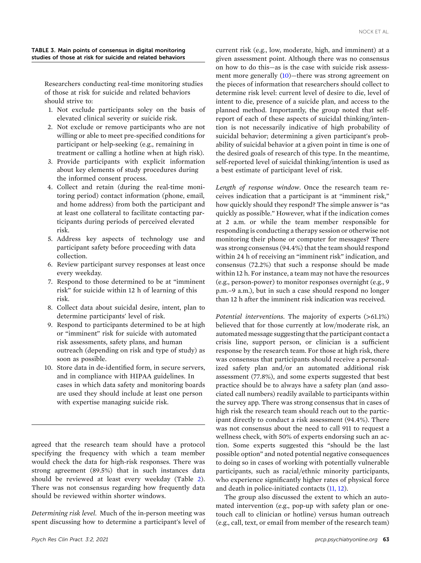<span id="page-8-0"></span>TABLE 3. Main points of consensus in digital monitoring studies of those at risk for suicide and related behaviors

Researchers conducting real‐time monitoring studies of those at risk for suicide and related behaviors should strive to:

- 1. Not exclude participants soley on the basis of elevated clinical severity or suicide risk.
- 2. Not exclude or remove participants who are not willing or able to meet pre‐specified conditions for participant or help‐seeking (e.g., remaining in treatment or calling a hotline when at high risk).
- 3. Provide participants with explicit information about key elements of study procedures during the informed consent process.
- 4. Collect and retain (during the real-time monitoring period) contact information (phone, email, and home address) from both the participant and at least one collateral to facilitate contacting participants during periods of perceived elevated risk.
- 5. Address key aspects of technology use and participant safety before proceeding with data collection.
- 6. Review participant survey responses at least once every weekday.
- 7. Respond to those determined to be at "imminent risk" for suicide within 12 h of learning of this risk.
- 8. Collect data about suicidal desire, intent, plan to determine participants' level of risk.
- 9. Respond to participants determined to be at high or "imminent" risk for suicide with automated risk assessments, safety plans, and human outreach (depending on risk and type of study) as soon as possible.
- 10. Store data in de‐identified form, in secure servers, and in compliance with HIPAA guidelines. In cases in which data safety and monitoring boards are used they should include at least one person with expertise managing suicide risk.

agreed that the research team should have a protocol specifying the frequency with which a team member would check the data for high‐risk responses. There was strong agreement (89.5%) that in such instances data should be reviewed at least every weekday (Table [2](#page-6-0)). There was not consensus regarding how frequently data should be reviewed within shorter windows.

*Determining risk level.* Much of the in‐person meeting was spent discussing how to determine a participant's level of current risk (e.g., low, moderate, high, and imminent) at a given assessment point. Although there was no consensus on how to do this—as is the case with suicide risk assess-ment more generally [\(10](#page-10-0))—there was strong agreement on the pieces of information that researchers should collect to determine risk level: current level of desire to die, level of intent to die, presence of a suicide plan, and access to the planned method. Importantly, the group noted that self‐ report of each of these aspects of suicidal thinking/intention is not necessarily indicative of high probability of suicidal behavior; determining a given participant's probability of suicidal behavior at a given point in time is one of the desired goals of research of this type. In the meantime, self-reported level of suicidal thinking/intention is used as a best estimate of participant level of risk.

*Length of response window.* Once the research team receives indication that a participant is at "imminent risk," how quickly should they respond? The simple answer is "as quickly as possible." However, what if the indication comes at 2 a.m. or while the team member responsible for responding is conducting a therapy session or otherwise not monitoring their phone or computer for messages? There was strong consensus (94.4%) that the team should respond within 24 h of receiving an "imminent risk" indication, and consensus (72.2%) that such a response should be made within 12 h. For instance, a team may not have the resources (e.g., person‐power) to monitor responses overnight (e.g., 9 p.m.–9 a.m.), but in such a case should respond no longer than 12 h after the imminent risk indication was received.

*Potential interventions.* The majority of experts (>61.1%) believed that for those currently at low/moderate risk, an automated message suggesting that the participant contact a crisis line, support person, or clinician is a sufficient response by the research team. For those at high risk, there was consensus that participants should receive a personalized safety plan and/or an automated additional risk assessment (77.8%), and some experts suggested that best practice should be to always have a safety plan (and associated call numbers) readily available to participants within the survey app. There was strong consensus that in cases of high risk the research team should reach out to the participant directly to conduct a risk assessment (94.4%). There was not consensus about the need to call 911 to request a wellness check, with 50% of experts endorsing such an action. Some experts suggested this "should be the last possible option" and noted potential negative consequences to doing so in cases of working with potentially vulnerable participants, such as racial/ethnic minority participants, who experience significantly higher rates of physical force and death in police‐initiated contacts ([11,](#page-10-0) 12).

The group also discussed the extent to which an automated intervention (e.g., pop-up with safety plan or onetouch call to clinician or hotline) versus human outreach (e.g., call, text, or email from member of the research team)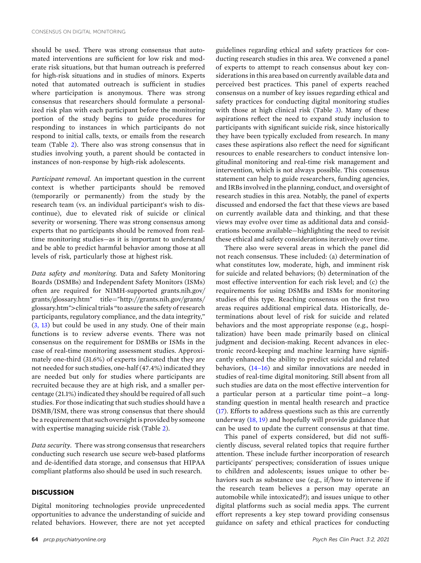should be used. There was strong consensus that automated interventions are sufficient for low risk and moderate risk situations, but that human outreach is preferred for high-risk situations and in studies of minors. Experts noted that automated outreach is sufficient in studies where participation is anonymous. There was strong consensus that researchers should formulate a personalized risk plan with each participant before the monitoring portion of the study begins to guide procedures for responding to instances in which participants do not respond to initial calls, texts, or emails from the research team (Table [2\)](#page-6-0). There also was strong consensus that in studies involving youth, a parent should be contacted in instances of non‐response by high‐risk adolescents.

*Participant removal.* An important question in the current context is whether participants should be removed (temporarily or permanently) from the study by the research team (vs. an individual participant's wish to discontinue), due to elevated risk of suicide or clinical severity or worsening. There was strong consensus among experts that no participants should be removed from real‐ time monitoring studies—as it is important to understand and be able to predict harmful behavior among those at all levels of risk, particularly those at highest risk.

*Data safety and monitoring.* Data and Safety Monitoring Boards (DSMBs) and Independent Safety Monitors (ISMs) often are required for NIMH‐supported grants.nih.gov/ grants/glossary.htm" title="http://grants.nih.gov/grants/ glossary.htm">clinical trials "to assure the safety of research participants, regulatory compliance, and the data integrity," (3, [13](#page-10-0)) but could be used in any study. One of their main functions is to review adverse events. There was not consensus on the requirement for DSMBs or ISMs in the case of real-time monitoring assessment studies. Approximately one-third (31.6%) of experts indicated that they are not needed for such studies, one‐half (47.4%) indicated they are needed but only for studies where participants are recruited because they are at high risk, and a smaller percentage (21.1%) indicated they should be required of all such studies. For those indicating that such studies should have a DSMB/ISM, there was strong consensus that there should be a requirement that such oversight is provided by someone with expertise managing suicide risk (Table [2\)](#page-6-0).

*Data security.* There was strong consensus that researchers conducting such research use secure web‐based platforms and de‐identified data storage, and consensus that HIPAA compliant platforms also should be used in such research.

#### **DISCUSSION**

Digital monitoring technologies provide unprecedented opportunities to advance the understanding of suicide and related behaviors. However, there are not yet accepted

guidelines regarding ethical and safety practices for conducting research studies in this area. We convened a panel of experts to attempt to reach consensus about key considerations in this area based on currently available data and perceived best practices. This panel of experts reached consensus on a number of key issues regarding ethical and safety practices for conducting digital monitoring studies with those at high clinical risk (Table [3\)](#page-8-0). Many of these aspirations reflect the need to expand study inclusion to participants with significant suicide risk, since historically they have been typically excluded from research. In many cases these aspirations also reflect the need for significant resources to enable researchers to conduct intensive longitudinal monitoring and real‐time risk management and intervention, which is not always possible. This consensus statement can help to guide researchers, funding agencies, and IRBs involved in the planning, conduct, and oversight of research studies in this area. Notably, the panel of experts discussed and endorsed the fact that these views are based on currently available data and thinking, and that these views may evolve over time as additional data and considerations become available—highlighting the need to revisit these ethical and safety considerations iteratively over time.

There also were several areas in which the panel did not reach consensus. These included: (a) determination of what constitutes low, moderate, high, and imminent risk for suicide and related behaviors; (b) determination of the most effective intervention for each risk level; and (c) the requirements for using DSMBs and ISMs for monitoring studies of this type. Reaching consensus on the first two areas requires additional empirical data. Historically, determinations about level of risk for suicide and related behaviors and the most appropriate response (e.g., hospitalization) have been made primarily based on clinical judgment and decision‐making. Recent advances in electronic record‐keeping and machine learning have significantly enhanced the ability to predict suicidal and related behaviors, [\(14–16\)](#page-10-0) and similar innovations are needed in studies of real‐time digital monitoring. Still absent from all such studies are data on the most effective intervention for a particular person at a particular time point—a long‐ standing question in mental health research and practice [\(17\)](#page-11-0). Efforts to address questions such as this are currently underway  $(18, 19)$  $(18, 19)$  $(18, 19)$  and hopefully will provide guidance that can be used to update the current consensus at that time.

This panel of experts considered, but did not sufficiently discuss, several related topics that require further attention. These include further incorporation of research participants' perspectives; consideration of issues unique to children and adolescents; issues unique to other behaviors such as substance use (e.g., if/how to intervene if the research team believes a person may operate an automobile while intoxicated?); and issues unique to other digital platforms such as social media apps. The current effort represents a key step toward providing consensus guidance on safety and ethical practices for conducting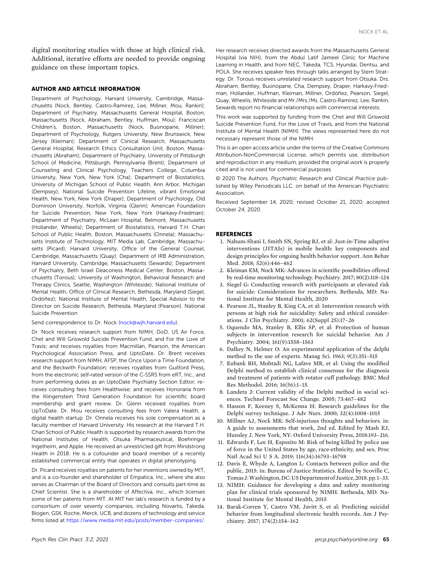<span id="page-10-0"></span>digital monitoring studies with those at high clinical risk. Additional, iterative efforts are needed to provide ongoing guidance on these important topics.

#### **AUTHOR AND ARTICLE INFORMATION**

Department of Psychology, Harvard University, Cambridge, Massachusetts (Nock, Bentley, Castro‐Ramirez, Lee, Millner, Mou, Rankin); Department of Psychiatry, Massachusetts General Hospital, Boston, Massachusetts (Nock, Abraham, Bentley, Huffman, Mou); Franciscan Children's, Boston, Massachusetts (Nock, Buonopane, Millner); Department of Psychology, Rutgers University, New Brunswick, New Jersey (Kleiman); Department of Clinical Research, Massachusetts General Hospital, Research Ethics Consultation Unit, Boston, Massachusetts (Abraham); Department of Psychiatry, University of Pittsburgh School of Medicine, Pittsburgh, Pennsylvania (Brent); Department of Counseling and Clinical Psychology, Teachers College, Columbia University, New York, New York (Cha); Department of Biostatistics, University of Michigan School of Public Health, Ann Arbor, Michigan (Dempsey); National Suicide Prevention Lifeline, vibrant Emotional Health, New York, New York (Draper); Department of Psychology, Old Dominion University, Norfolk, Virginia (Glenn); American Foundation for Suicide Prevention, New York, New York (Harkavy‐Friedman); Department of Psychiatry, McLean Hospital, Belmont, Massachusetts (Hollander, Wheelis); Department of Biostatistics, Harvard T.H. Chan School of Public Health, Boston, Massachusetts (Onnela); Massachusetts Institute of Technology, MIT Media Lab, Cambridge, Massachusetts (Picard); Harvard University, Office of the General Counsel, Cambridge, Massachusetts (Quay); Department of IRB Administration, Harvard University, Cambridge, Massachusetts (Sewards); Department of Psychiatry, Beth Israel Deaconess Medical Center, Boston, Massachusetts (Torous); University of Washington, Behavioral Research and Therapy Clinics, Seattle, Washington (Whiteside); National Institute of Mental Health, Office of Clinical Research, Bethesda, Maryland (Siegel, Ordóñez); National Institute of Mental Health, Special Advisor to the Director on Suicide Research, Bethesda, Maryland (Pearson). National Suicide Prevention

#### Send correspondence to Dr. Nock ([nock@wjh.harvard.edu](mailto:nock@wjh.harvard.edu)).

Dr. Nock receives research support from NIMH, DoD, US Air Force, Chet and Will Griswold Suicide Prevention Fund, and For the Love of Travis; and receives royalties from Macmillan, Pearson, the American Psychological Association Press, and UptoDate. Dr. Brent receives research support from NIMH, AFSP, the Once Upon a Time Foundation, and the Beckwith Foundation; receives royalties from Guilford Press, from the electronic self-rated version of the C-SSRS from eRT, Inc., and from performing duties as an UptoDate Psychiatry Section Editor; receives consulting fees from Healthwise; and receives Honoraria from the Klingenstein Third Generation Foundation for scientific board membership and grant review. Dr. Glenn received royalties from UpToDate. Dr. Mou receives consulting fees from Valera Health, a digital health startup. Dr. Onnela receives his sole compensation as a faculty member of Harvard University. His research at the Harvard T.H. Chan School of Public Health is supported by research awards from the National Institutes of Health, Otsuka Pharmaceutical, Boehringer Ingelheim, and Apple. He received an unrestricted gift from Mindstrong Health in 2018. He is a cofounder and board member of a recently established commercial entity that operates in digital phenotyping.

Dr. Picard receives royalties on patents for her inventions owned by MIT, and is a co-founder and shareholder of Empatica, Inc., where she also serves as Chairman of the Board of Directors and consults part‐time as Chief Scientist. She is a shareholder of Affectiva, Inc., which licenses some of her patents from MIT. At MIT her lab's research is funded by a consortium of over seventy companies, including Novartis, Takeda, Biogen, GSK, Roche, Merck, UCB, and dozens of technology and service firms listed at <https://www.media.mit.edu/posts/member-companies/>.

Her research receives directed awards from the Massachusetts General Hospital (via NIH), from the Abdul Latif Jameel Clinic for Machine Learning in Health, and from NEC, Takeda, TCS, Hyundai, Dentsu, and POLA. She receives speaker fees through talks arranged by Stern Strategy. Dr. Torous receives unrelated research support from Otsuka. Drs. Abraham, Bentley, Buonopane, Cha, Dempsey, Draper, Harkavy‐Friedman, Hollander, Huffman, Kleiman, Millner, Ordóñez, Pearson, Siegel, Quay, Wheelis, Whiteside and Mr./Mrs./Ms. Castro‐Ramirez, Lee, Rankin, Sewards report no financial relationships with commercial interests.

This work was supported by funding from the Chet and Will Griswold Suicide Prevention Fund, For the Love of Travis, and from the National Institute of Mental Health (NIMH). The views represented here do not necessary represent those of the NIMH.

This is an open access article under the terms of the Creative Commons Attribution‐NonCommercial License, which permits use, distribution and reproduction in any medium, provided the original work is properly cited and is not used for commercial purposes.

© 2020 The Authors. *Psychiatric Research and Clinical Practice* published by Wiley Periodicals LLC. on behalf of the American Psychiatric Association.

Received September 14, 2020; revised October 21, 2020; accepted October 24, 2020.

#### **REFERENCES**

- 1. Nahum‐Shani I, Smith SN, Spring BJ, et al: Just‐in‐Time adaptive interventions (JITAIs) in mobile health: key components and design principles for ongoing health behavior support. Ann Behav Med. 2018; 52(6):446–462
- 2. Kleiman EM, Nock MK: Advances in scientific possibilities offered by real‐time monitoring technology. Psychiatry. 2017; 80(2):118–124
- 3. Siegel G: Conducting research with participants at elevated risk for suicide: Considerations for researchers. Bethesda, MD: National Institute for Mental Health, 2020
- 4. Pearson JL, Stanley B, King CA, et al: Intervention research with persons at high risk for suicidality: Safety and ethical considerations. J Clin Psychiatry. 2001; 62(Suppl 25):17–26
- 5. Oquendo MA, Stanley B, Ellis SP, et al: Protection of human subjects in intervention research for suicidal behavior. Am J Psychiatry. 2004; 161(9):1558–1563
- 6. Dalkey N, Helmer O: An experimental application of the delphi method to the use of experts. Manag Sci. 1963; 9(3):351–515
- 7. Eubank BH, Mohtadi NG, Lafave MR, et al: Using the modified Delphi method to establish clinical consensus for the diagnosis and treatment of patients with rotator cuff pathology. BMC Med Res Methodol. 2016; 16(56):1–15.
- 8. Landeta J: Current validity of the Delphi method in social sciences. Technol Forecast Soc Change. 2005; 73:467–482
- 9. Hasson F, Keeney S, McKenna H: Research guidelines for the Delphi survey technique. J Adv Nurs. 2000; 32(4):1008–1015
- 10. Millner AJ, Nock MK: Self‐injurious thoughts and behaviors. in: A guide to assessments that work, 2nd ed. Edited by Mash EJ, Hunsley J. New York, NY: Oxford University Press, 2018:193–216.
- 11. Edwards F, Lee H, Esposito M: Risk of being killed by police use of force in the United States by age, race‐ethnicity, and sex. Proc Natl Acad Sci U S A. 2019; 116(34):16793–16798
- 12. Davis E, Whyde A, Langton L: Contacts between police and the public, 2015: in: Bureau of Justice Statistics. Edited by Scoville C, TomasJ.Washington,DC:USDepartmentofJustice,2018.pp.1–33.
- 13. NIMH: Guidance for developing a data and safety monitoring plan for clinical trials sponsored by NIMH. Bethesda, MD: National Institute for Mental Health, 2015
- 14. Barak‐Corren Y, Castro VM, Javitt S, et al: Predicting suicidal behavior from longitudinal electronic health records. Am J Psychiatry. 2017; 174(2):154–162